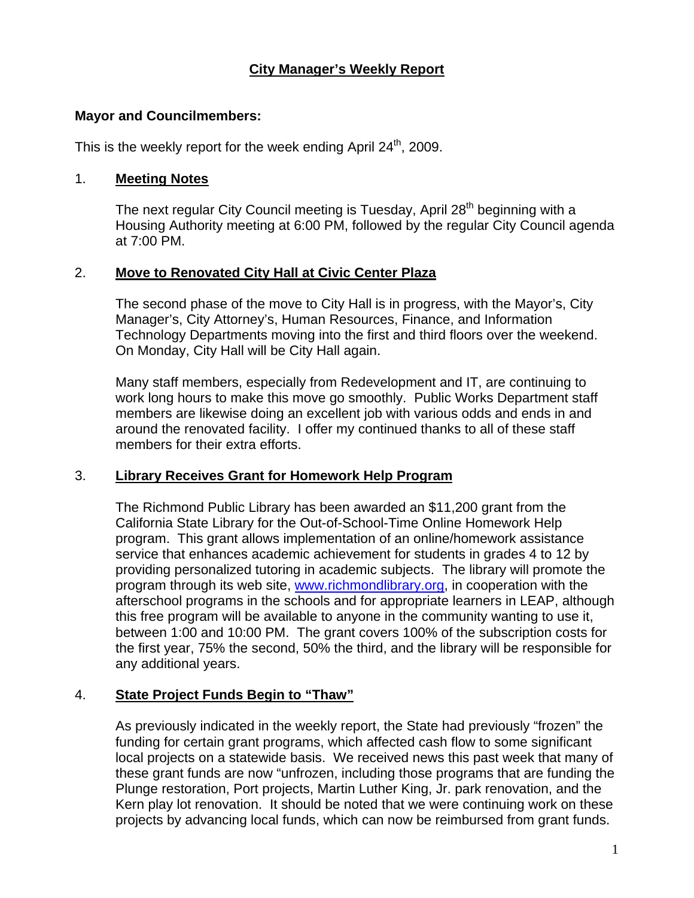# **City Manager's Weekly Report**

#### **Mayor and Councilmembers:**

This is the weekly report for the week ending April  $24<sup>th</sup>$ , 2009.

#### 1. **Meeting Notes**

The next regular City Council meeting is Tuesday, April 28<sup>th</sup> beginning with a Housing Authority meeting at 6:00 PM, followed by the regular City Council agenda at 7:00 PM.

# 2. **Move to Renovated City Hall at Civic Center Plaza**

The second phase of the move to City Hall is in progress, with the Mayor's, City Manager's, City Attorney's, Human Resources, Finance, and Information Technology Departments moving into the first and third floors over the weekend. On Monday, City Hall will be City Hall again.

Many staff members, especially from Redevelopment and IT, are continuing to work long hours to make this move go smoothly. Public Works Department staff members are likewise doing an excellent job with various odds and ends in and around the renovated facility. I offer my continued thanks to all of these staff members for their extra efforts.

# 3. **Library Receives Grant for Homework Help Program**

The Richmond Public Library has been awarded an \$11,200 grant from the California State Library for the Out-of-School-Time Online Homework Help program. This grant allows implementation of an online/homework assistance service that enhances academic achievement for students in grades 4 to 12 by providing personalized tutoring in academic subjects. The library will promote the program through its web site, [www.richmondlibrary.org](https://owa.ci.richmond.ca.us/exchweb/bin/redir.asp?URL=http://www.richmondlibrary.org/), in cooperation with the afterschool programs in the schools and for appropriate learners in LEAP, although this free program will be available to anyone in the community wanting to use it, between 1:00 and 10:00 PM. The grant covers 100% of the subscription costs for the first year, 75% the second, 50% the third, and the library will be responsible for any additional years.

# 4. **State Project Funds Begin to "Thaw"**

As previously indicated in the weekly report, the State had previously "frozen" the funding for certain grant programs, which affected cash flow to some significant local projects on a statewide basis. We received news this past week that many of these grant funds are now "unfrozen, including those programs that are funding the Plunge restoration, Port projects, Martin Luther King, Jr. park renovation, and the Kern play lot renovation. It should be noted that we were continuing work on these projects by advancing local funds, which can now be reimbursed from grant funds.